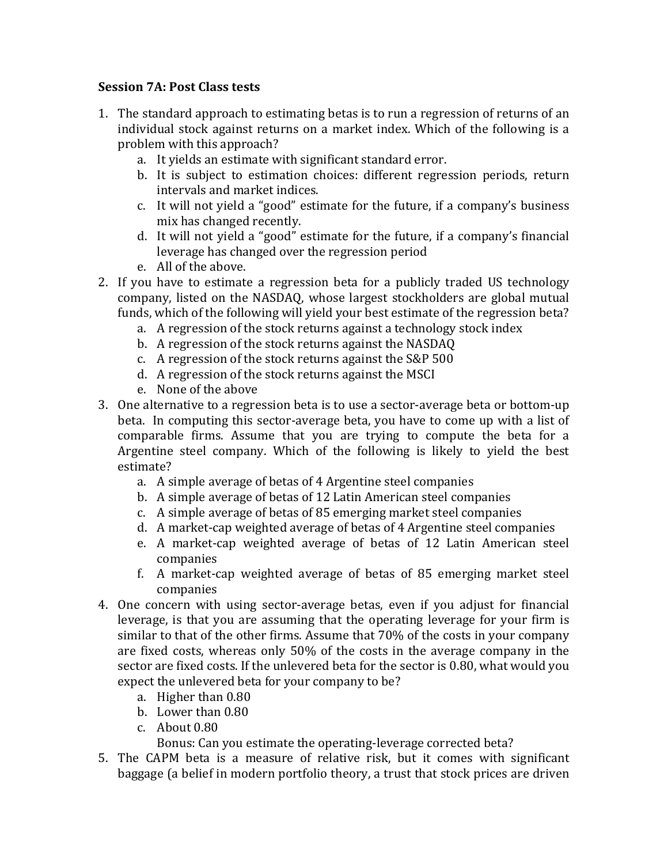## **Session 7A**: Post Class tests

- 1. The standard approach to estimating betas is to run a regression of returns of an individual stock against returns on a market index. Which of the following is a problem with this approach?
	- a. It yields an estimate with significant standard error.
	- b. It is subject to estimation choices: different regression periods, return intervals and market indices.
	- c. It will not yield a "good" estimate for the future, if a company's business mix has changed recently.
	- d. It will not yield a "good" estimate for the future, if a company's financial leverage has changed over the regression period
	- e. All of the above.
- 2. If you have to estimate a regression beta for a publicly traded US technology company, listed on the NASDAQ, whose largest stockholders are global mutual funds, which of the following will yield your best estimate of the regression beta?
	- a. A regression of the stock returns against a technology stock index
	- b. A regression of the stock returns against the NASDAQ
	- c. A regression of the stock returns against the  $S\&P 500$
	- d. A regression of the stock returns against the MSCI
	- e. None of the above
- 3. One alternative to a regression beta is to use a sector-average beta or bottom-up beta. In computing this sector-average beta, you have to come up with a list of comparable firms. Assume that you are trying to compute the beta for a Argentine steel company. Which of the following is likely to yield the best estimate?
	- a. A simple average of betas of 4 Argentine steel companies
	- b. A simple average of betas of 12 Latin American steel companies
	- c. A simple average of betas of 85 emerging market steel companies
	- d. A market-cap weighted average of betas of 4 Argentine steel companies
	- e. A market-cap weighted average of betas of 12 Latin American steel companies
	- f. A market-cap weighted average of betas of 85 emerging market steel companies
- 4. One concern with using sector-average betas, even if you adjust for financial leverage, is that you are assuming that the operating leverage for your firm is similar to that of the other firms. Assume that 70% of the costs in your company are fixed costs, whereas only  $50\%$  of the costs in the average company in the sector are fixed costs. If the unlevered beta for the sector is 0.80, what would you expect the unlevered beta for your company to be?
	- a. Higher than 0.80
	- b. Lower than 0.80
	- $c.$  About  $0.80$

Bonus: Can you estimate the operating-leverage corrected beta?

5. The CAPM beta is a measure of relative risk, but it comes with significant baggage (a belief in modern portfolio theory, a trust that stock prices are driven